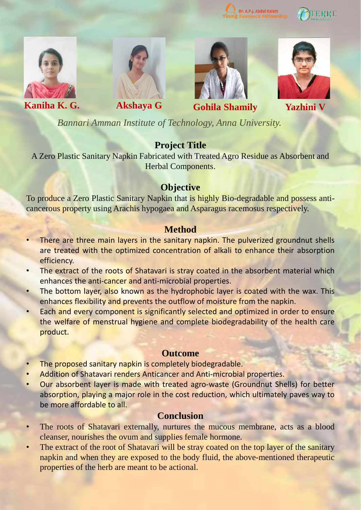





**Kaniha K. G. Akshaya G Gohila Shamily Yazhini V**





*Bannari Amman Institute of Technology, Anna University.*

# **Project Title**

A Zero Plastic Sanitary Napkin Fabricated with Treated Agro Residue as Absorbent and Herbal Components.

### **Objective**

To produce a Zero Plastic Sanitary Napkin that is highly Bio-degradable and possess anticancerous property using Arachis hypogaea and Asparagus racemosus respectively.

## **Method**

- There are three main layers in the sanitary napkin. The pulverized groundnut shells are treated with the optimized concentration of alkali to enhance their absorption efficiency.
- The extract of the roots of Shatavari is stray coated in the absorbent material which enhances the anti-cancer and anti-microbial properties.
- The bottom layer, also known as the hydrophobic layer is coated with the wax. This enhances flexibility and prevents the outflow of moisture from the napkin.
- Each and every component is significantly selected and optimized in order to ensure the welfare of menstrual hygiene and complete biodegradability of the health care product.

### **Outcome**

- The proposed sanitary napkin is completely biodegradable.
- Addition of Shatavari renders Anticancer and Anti-microbial properties.
- Our absorbent layer is made with treated agro-waste (Groundnut Shells) for better absorption, playing a major role in the cost reduction, which ultimately paves way to be more affordable to all.

### **Conclusion**

- The roots of Shatavari externally, nurtures the mucous membrane, acts as a blood cleanser, nourishes the ovum and supplies female hormone.
- The extract of the root of Shatavari will be stray coated on the top layer of the sanitary napkin and when they are exposed to the body fluid, the above-mentioned therapeutic properties of the herb are meant to be actional.